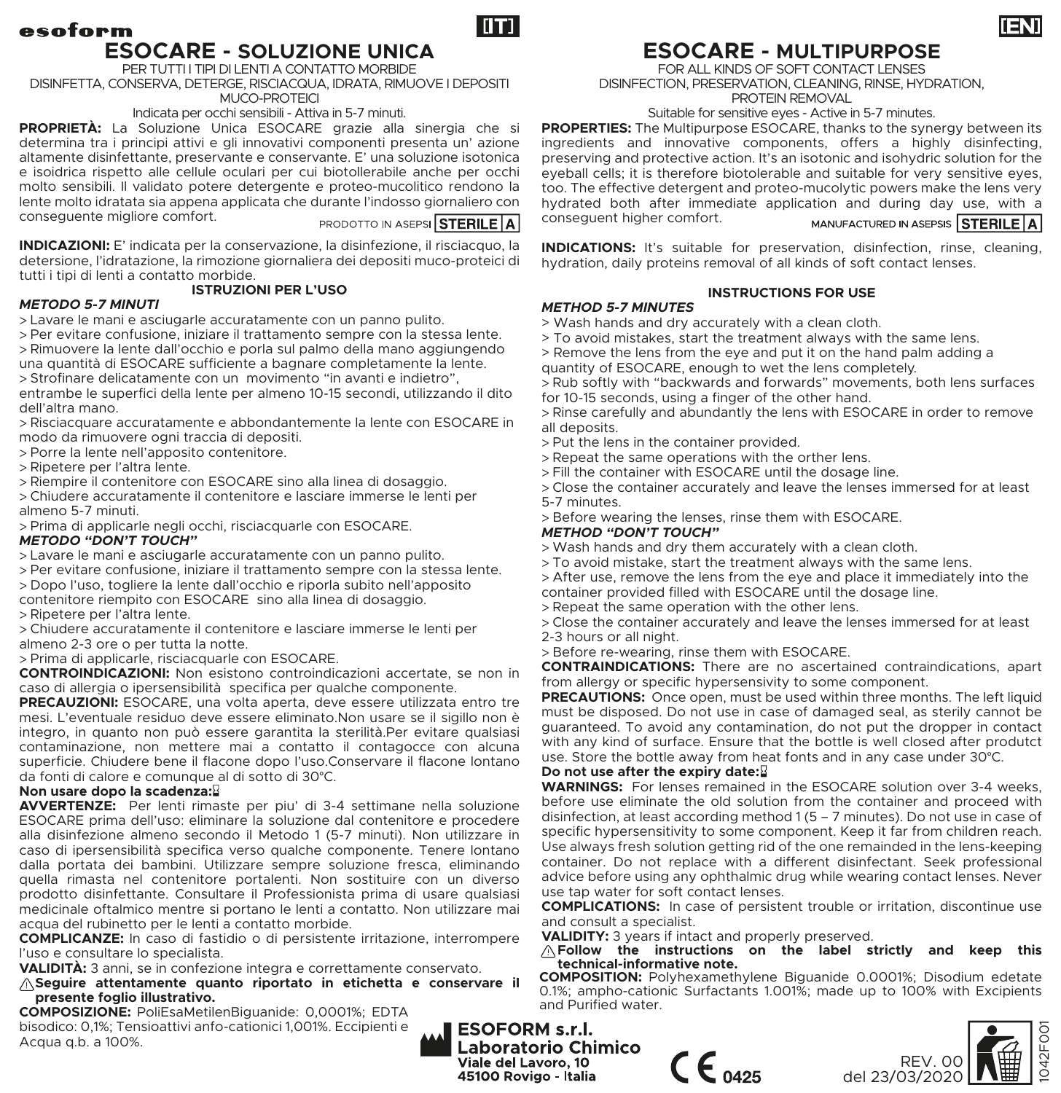# esoform **ESOCARE - SOLUZIONE UNICA** PER TUTTI I TIPI DI LENTI A CONTATTO MORBIDE

DISINFETTA, CONSERVA, DETERGE, RISCIACQUA, IDRATA, RIMUOVE I DEPOSITI MUCO-PROTEICI

Indicata per occhi sensibili - Attiva in 5-7 minuti.

**PROPRIETÀ:** La Soluzione Unica ESOCARE grazie alla sinergia che si determina tra i principi attivi e gli innovativi componenti presenta un' azione altamente disinfettante, preservante e conservante. E' una soluzione isotonica e isoidrica rispetto alle cellule oculari per cui biotollerabile anche per occhi molto sensibili. Il validato potere detergente e proteo-mucolitico rendono la lente molto idratata sia appena applicata che durante l'indosso giornaliero con conseguente migliore comfort.

PRODOTTO IN ASEPSI STERILE A

m

**INDICAZIONI:** E' indicata per la conservazione, la disinfezione, il risciacquo, la detersione, l'idratazione, la rimozione giornaliera dei depositi muco-proteici di tutti i tipi di lenti a contatto morbide.

### **ISTRUZIONI PER L'USO**

## *METODO 5-7 MINUTI*

- > Lavare le mani e asciugarle accuratamente con un panno pulito.
- > Per evitare confusione, iniziare il trattamento sempre con la stessa lente.
- > Rimuovere la lente dall'occhio e porla sul palmo della mano aggiungendo
- una quantità di ESOCARE sufficiente a bagnare completamente la lente.
- > Strofinare delicatamente con un movimento "in avanti e indietro",

entrambe le superfici della lente per almeno 10-15 secondi, utilizzando il dito dell'altra mano.

- > Risciacquare accuratamente e abbondantemente la lente con ESOCARE in modo da rimuovere ogni traccia di depositi.
- > Porre la lente nell'apposito contenitore.
- > Ripetere per l'altra lente.
- > Riempire il contenitore con ESOCARE sino alla linea di dosaggio.
- > Chiudere accuratamente il contenitore e lasciare immerse le lenti per almeno 5-7 minuti.
- > Prima di applicarle negli occhi, risciacquarle con ESOCARE.

#### *METODO "DON'T TOUCH"*

- > Lavare le mani e asciugarle accuratamente con un panno pulito.
- > Per evitare confusione, iniziare il trattamento sempre con la stessa lente.
- > Dopo l'uso, togliere la lente dall'occhio e riporla subito nell'apposito
- contenitore riempito con ESOCARE sino alla linea di dosaggio. > Ripetere per l'altra lente.
- > Chiudere accuratamente il contenitore e lasciare immerse le lenti per almeno 2-3 ore o per tutta la notte.
- > Prima di applicarle, risciacquarle con ESOCARE.

**CONTROINDICAZIONI:** Non esistono controindicazioni accertate, se non in caso di allergia o ipersensibilità specifica per qualche componente.

**PRECAUZIONI:** ESOCARE, una volta aperta, deve essere utilizzata entro tre mesi. L'eventuale residuo deve essere eliminato.Non usare se il sigillo non è integro, in quanto non può essere garantita la sterilità.Per evitare qualsiasi contaminazione, non mettere mai a contatto il contagocce con alcuna superficie. Chiudere bene il flacone dopo l'uso.Conservare il flacone lontano da fonti di calore e comunque al di sotto di 30°C.

#### **Non usare dopo la scadenza:**

**AVVERTENZE:** Per lenti rimaste per piu' di 3-4 settimane nella soluzione ESOCARE prima dell'uso: eliminare la soluzione dal contenitore e procedere alla disinfezione almeno secondo il Metodo 1 (5-7 minuti). Non utilizzare in caso di ipersensibilità specifica verso qualche componente. Tenere lontano dalla portata dei bambini. Utilizzare sempre soluzione fresca, eliminando quella rimasta nel contenitore portalenti. Non sostituire con un diverso prodotto disinfettante. Consultare il Professionista prima di usare qualsiasi medicinale oftalmico mentre si portano le lenti a contatto. Non utilizzare mai acqua del rubinetto per le lenti a contatto morbide.

**COMPLICANZE:** In caso di fastidio o di persistente irritazione, interrompere l'uso e consultare lo specialista.

**VALIDITÀ:** 3 anni, se in confezione integra e correttamente conservato.

**Seguire attentamente quanto riportato in etichetta e conservare il presente foglio illustrativo.**

**COMPOSIZIONE:** PoliEsaMetilenBiguanide: 0,0001%; EDTA bisodico: 0,1%; Tensioattivi anfo-cationici 1,001%. Eccipienti e Acqua q.b. a 100%.

# Suitable for sensitive eyes - Active in 5-7 minutes. **PROPERTIES:** The Multipurpose ESOCARE, thanks to the synergy between its

ingredients and innovative components, offers a highly disinfecting, preserving and protective action. It's an isotonic and isohydric solution for the eyeball cells; it is therefore biotolerable and suitable for very sensitive eyes, too. The effective detergent and proteo-mucolytic powers make the lens very hydrated both after immediate application and during day use, with a conseguent higher comfort. MANUFACTURED IN ASEPSIS STERILE A

**ESOCARE - MULTIPURPOSE** FOR ALL KINDS OF SOFT CONTACT LENSES DISINFECTION, PRESERVATION, CLEANING, RINSE, HYDRATION, PROTEIN REMOVAL

**INDICATIONS:** It's suitable for preservation, disinfection, rinse, cleaning, hydration, daily proteins removal of all kinds of soft contact lenses.

# **INSTRUCTIONS FOR USE**

- *METHOD 5-7 MINUTES* > Wash hands and dry accurately with a clean cloth.
- > To avoid mistakes, start the treatment always with the same lens.
- > Remove the lens from the eye and put it on the hand palm adding a
- quantity of ESOCARE, enough to wet the lens completely.

> Rub softly with "backwards and forwards" movements, both lens surfaces for 10-15 seconds, using a finger of the other hand.

> Rinse carefully and abundantly the lens with ESOCARE in order to remove all deposits.

- > Put the lens in the container provided.
- > Repeat the same operations with the orther lens.
- > Fill the container with ESOCARE until the dosage line.

> Close the container accurately and leave the lenses immersed for at least 5-7 minutes.

> Before wearing the lenses, rinse them with ESOCARE.

## *METHOD "DON'T TOUCH"*

- > Wash hands and dry them accurately with a clean cloth.
- > To avoid mistake, start the treatment always with the same lens.
- > After use, remove the lens from the eye and place it immediately into the container provided filled with ESOCARE until the dosage line.
- > Repeat the same operation with the other lens.
- > Close the container accurately and leave the lenses immersed for at least 2-3 hours or all night.
- > Before re-wearing, rinse them with ESOCARE.

**CONTRAINDICATIONS:** There are no ascertained contraindications, apart from allergy or specific hypersensivity to some component.

**PRECAUTIONS:** Once open, must be used within three months. The left liquid must be disposed. Do not use in case of damaged seal, as sterily cannot be guaranteed. To avoid any contamination, do not put the dropper in contact with any kind of surface. Ensure that the bottle is well closed after produtct use. Store the bottle away from heat fonts and in any case under 30°C.

#### **Do not use after the expiry date:**

**WARNINGS:** For lenses remained in the ESOCARE solution over 3-4 weeks, before use eliminate the old solution from the container and proceed with disinfection, at least according method 1 (5 – 7 minutes). Do not use in case of specific hypersensitivity to some component. Keep it far from children reach. Use always fresh solution getting rid of the one remainded in the lens-keeping container. Do not replace with a different disinfectant. Seek professional advice before using any ophthalmic drug while wearing contact lenses. Never use tap water for soft contact lenses.

**COMPLICATIONS:** In case of persistent trouble or irritation, discontinue use and consult a specialist.

**VALIDITY:** 3 years if intact and properly preserved.

**Follow the instructions on the label strictly and keep this** 

**COMPOSITION:** Polyhexamethylene Biguanide 0.0001%; Disodium edetate 0.1%; ampho-cationic Surfactants 1.001%; made up to 100% with Excipients and Purified water.